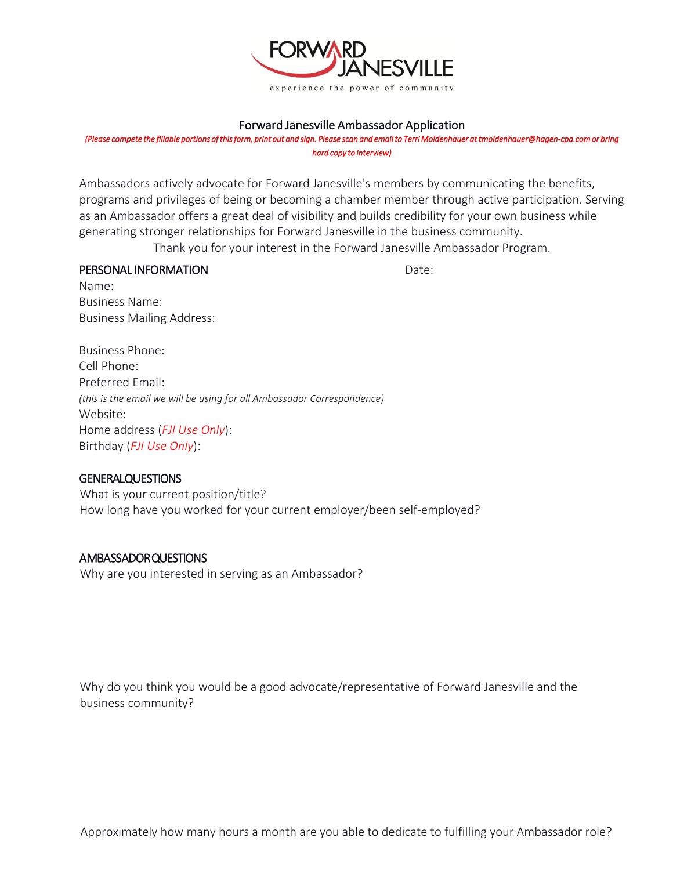

## Forward Janesville Ambassador Application

*(Please compete the fillable portions of this form, print out and sign. Please scan and email to Terri Moldenhauer at tmoldenhauer@hagen-cpa.com or bring hard copy to interview)*

Ambassadors actively advocate for Forward Janesville's members by communicating the benefits, programs and privileges of being or becoming a chamber member through active participation. Serving as an Ambassador offers a great deal of visibility and builds credibility for your own business while generating stronger relationships for Forward Janesville in the business community.

Thank you for your interest in the Forward Janesville Ambassador Program.

## **PERSONAL INFORMATION Date:** Date:

Name: Business Name: Business Mailing Address:

Business Phone: Cell Phone: Preferred Email: *(this is the email we will be using for all Ambassador Correspondence)* Website: Home address (*FJI Use Only*): Birthday (*FJI Use Only*):

## **GENERALQUESTIONS**

What is your current position/title? How long have you worked for your current employer/been self-employed?

## AMBASSADOR QUESTIONS

Why are you interested in serving as an Ambassador?

Why do you think you would be a good advocate/representative of Forward Janesville and the business community?